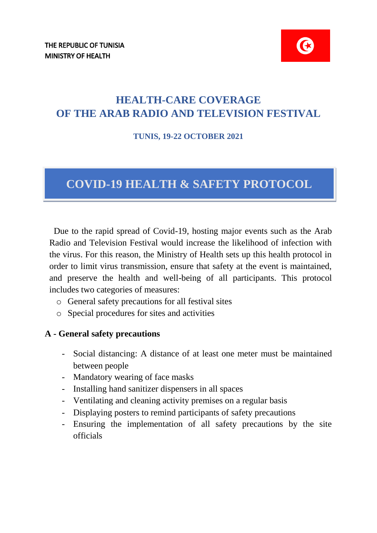# **HEALTH-CARE COVERAGE OF THE ARAB RADIO AND TELEVISION FESTIVAL**

#### **TUNIS, 19-22 OCTOBER 2021**

# **COVID-19 HEALTH & SAFETY PROTOCOL**

Due to the rapid spread of Covid-19, hosting major events such as the Arab Radio and Television Festival would increase the likelihood of infection with the virus. For this reason, the Ministry of Health sets up this health protocol in order to limit virus transmission, ensure that safety at the event is maintained, and preserve the health and well-being of all participants. This protocol includes two categories of measures:

- o General safety precautions for all festival sites
- o Special procedures for sites and activities

#### **A - General safety precautions**

- Social distancing: A distance of at least one meter must be maintained between people
- Mandatory wearing of face masks
- Installing hand sanitizer dispensers in all spaces
- Ventilating and cleaning activity premises on a regular basis
- Displaying posters to remind participants of safety precautions
- Ensuring the implementation of all safety precautions by the site officials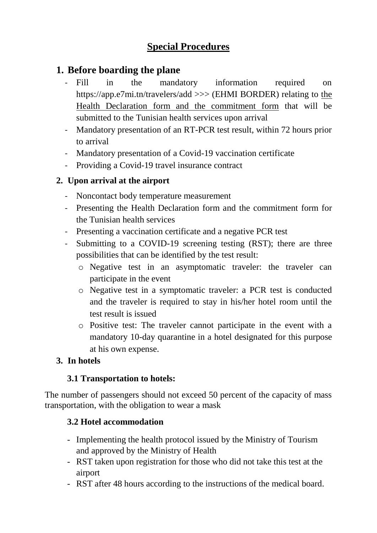# **Special Procedures**

# **1. Before boarding the plane**

- Fill in the mandatory information required on https://app.e7mi.tn/travelers/add >>> (EHMI BORDER) relating to the Health Declaration form and the commitment form that will be submitted to the Tunisian health services upon arrival
- Mandatory presentation of an RT-PCR test result, within 72 hours prior to arrival
- Mandatory presentation of a Covid-19 vaccination certificate
- Providing a Covid-19 travel insurance contract

### **2. Upon arrival at the airport**

- Noncontact body temperature measurement
- Presenting the Health Declaration form and the commitment form for the Tunisian health services
- Presenting a vaccination certificate and a negative PCR test
- Submitting to a COVID-19 screening testing (RST); there are three possibilities that can be identified by the test result:
	- o Negative test in an asymptomatic traveler: the traveler can participate in the event
	- o Negative test in a symptomatic traveler: a PCR test is conducted and the traveler is required to stay in his/her hotel room until the test result is issued
	- o Positive test: The traveler cannot participate in the event with a mandatory 10-day quarantine in a hotel designated for this purpose at his own expense.

#### **3. In hotels**

#### **3.1 Transportation to hotels:**

The number of passengers should not exceed 50 percent of the capacity of mass transportation, with the obligation to wear a mask

### **3.2 Hotel accommodation**

- Implementing the health protocol issued by the Ministry of Tourism and approved by the Ministry of Health
- RST taken upon registration for those who did not take this test at the airport
- RST after 48 hours according to the instructions of the medical board.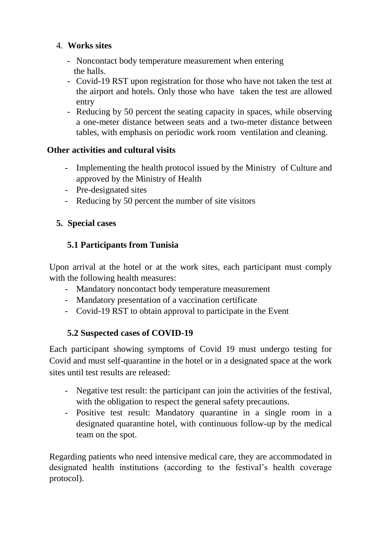### 4. **Works sites**

- Noncontact body temperature measurement when entering the halls.
- Covid-19 RST upon registration for those who have not taken the test at the airport and hotels. Only those who have taken the test are allowed entry
- Reducing by 50 percent the seating capacity in spaces, while observing a one-meter distance between seats and a two-meter distance between tables, with emphasis on periodic work room ventilation and cleaning.

#### **Other activities and cultural visits**

- Implementing the health protocol issued by the Ministry of Culture and approved by the Ministry of Health
- Pre-designated sites
- Reducing by 50 percent the number of site visitors

#### **5. Special cases**

### **5.1 Participants from Tunisia**

Upon arrival at the hotel or at the work sites, each participant must comply with the following health measures:

- Mandatory noncontact body temperature measurement
- Mandatory presentation of a vaccination certificate
- Covid-19 RST to obtain approval to participate in the Event

### **5.2 Suspected cases of COVID-19**

Each participant showing symptoms of Covid 19 must undergo testing for Covid and must self-quarantine in the hotel or in a designated space at the work sites until test results are released:

- Negative test result: the participant can join the activities of the festival, with the obligation to respect the general safety precautions.
- Positive test result: Mandatory quarantine in a single room in a designated quarantine hotel, with continuous follow-up by the medical team on the spot.

Regarding patients who need intensive medical care, they are accommodated in designated health institutions (according to the festival's health coverage protocol).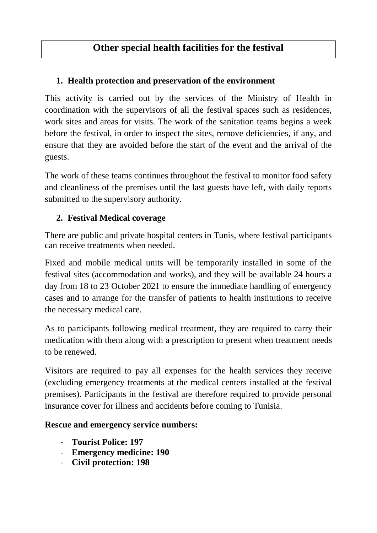# **Other special health facilities for the festival**

### **1. Health protection and preservation of the environment**

This activity is carried out by the services of the Ministry of Health in coordination with the supervisors of all the festival spaces such as residences, work sites and areas for visits. The work of the sanitation teams begins a week before the festival, in order to inspect the sites, remove deficiencies, if any, and ensure that they are avoided before the start of the event and the arrival of the guests.

The work of these teams continues throughout the festival to monitor food safety and cleanliness of the premises until the last guests have left, with daily reports submitted to the supervisory authority.

## **2. Festival Medical coverage**

There are public and private hospital centers in Tunis, where festival participants can receive treatments when needed.

Fixed and mobile medical units will be temporarily installed in some of the festival sites (accommodation and works), and they will be available 24 hours a day from 18 to 23 October 2021 to ensure the immediate handling of emergency cases and to arrange for the transfer of patients to health institutions to receive the necessary medical care.

As to participants following medical treatment, they are required to carry their medication with them along with a prescription to present when treatment needs to be renewed.

Visitors are required to pay all expenses for the health services they receive (excluding emergency treatments at the medical centers installed at the festival premises). Participants in the festival are therefore required to provide personal insurance cover for illness and accidents before coming to Tunisia.

#### **Rescue and emergency service numbers:**

- **Tourist Police: 197**
- **Emergency medicine: 190**
- **Civil protection: 198**